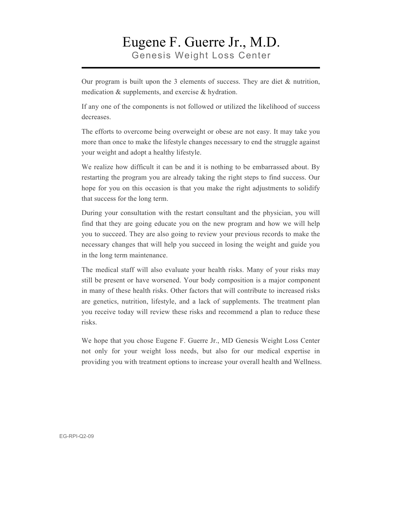### Eugene F. Guerre Jr., M.D. Genesis Weight Loss Center

Our program is built upon the 3 elements of success. They are diet  $\&$  nutrition, medication & supplements, and exercise & hydration.

If any one of the components is not followed or utilized the likelihood of success decreases.

The efforts to overcome being overweight or obese are not easy. It may take you more than once to make the lifestyle changes necessary to end the struggle against your weight and adopt a healthy lifestyle.

We realize how difficult it can be and it is nothing to be embarrassed about. By restarting the program you are already taking the right steps to find success. Our hope for you on this occasion is that you make the right adjustments to solidify that success for the long term.

During your consultation with the restart consultant and the physician, you will find that they are going educate you on the new program and how we will help you to succeed. They are also going to review your previous records to make the necessary changes that will help you succeed in losing the weight and guide you in the long term maintenance.

The medical staff will also evaluate your health risks. Many of your risks may still be present or have worsened. Your body composition is a major component in many of these health risks. Other factors that will contribute to increased risks are genetics, nutrition, lifestyle, and a lack of supplements. The treatment plan you receive today will review these risks and recommend a plan to reduce these risks.

We hope that you chose Eugene F. Guerre Jr., MD Genesis Weight Loss Center not only for your weight loss needs, but also for our medical expertise in providing you with treatment options to increase your overall health and Wellness.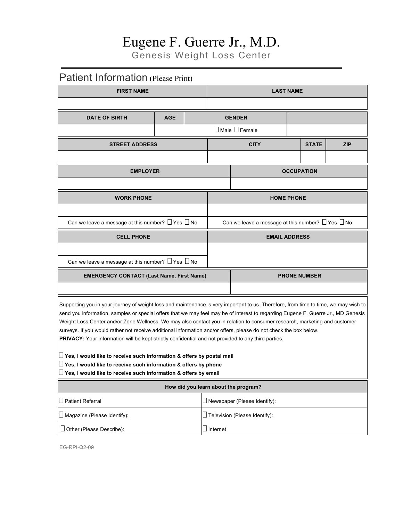Genesis Weight Loss Center

### Patient Information (Please Print)

| <b>FIRST NAME</b>                                                                                                                                                                                                                                                                                                                                                                                                                                                                                                                                                                                                                 |            |  | <b>LAST NAME</b>                                            |                                      |                     |              |            |  |
|-----------------------------------------------------------------------------------------------------------------------------------------------------------------------------------------------------------------------------------------------------------------------------------------------------------------------------------------------------------------------------------------------------------------------------------------------------------------------------------------------------------------------------------------------------------------------------------------------------------------------------------|------------|--|-------------------------------------------------------------|--------------------------------------|---------------------|--------------|------------|--|
|                                                                                                                                                                                                                                                                                                                                                                                                                                                                                                                                                                                                                                   |            |  |                                                             |                                      |                     |              |            |  |
| <b>DATE OF BIRTH</b>                                                                                                                                                                                                                                                                                                                                                                                                                                                                                                                                                                                                              | <b>AGE</b> |  |                                                             | <b>GENDER</b>                        |                     |              |            |  |
|                                                                                                                                                                                                                                                                                                                                                                                                                                                                                                                                                                                                                                   |            |  |                                                             | □ Male □ Female                      |                     |              |            |  |
| <b>STREET ADDRESS</b>                                                                                                                                                                                                                                                                                                                                                                                                                                                                                                                                                                                                             |            |  |                                                             | <b>CITY</b>                          |                     | <b>STATE</b> | <b>ZIP</b> |  |
|                                                                                                                                                                                                                                                                                                                                                                                                                                                                                                                                                                                                                                   |            |  |                                                             |                                      |                     |              |            |  |
| <b>EMPLOYER</b>                                                                                                                                                                                                                                                                                                                                                                                                                                                                                                                                                                                                                   |            |  |                                                             |                                      | <b>OCCUPATION</b>   |              |            |  |
|                                                                                                                                                                                                                                                                                                                                                                                                                                                                                                                                                                                                                                   |            |  |                                                             |                                      |                     |              |            |  |
| <b>WORK PHONE</b>                                                                                                                                                                                                                                                                                                                                                                                                                                                                                                                                                                                                                 |            |  |                                                             |                                      | <b>HOME PHONE</b>   |              |            |  |
|                                                                                                                                                                                                                                                                                                                                                                                                                                                                                                                                                                                                                                   |            |  |                                                             |                                      |                     |              |            |  |
| Can we leave a message at this number? $\Box$ Yes $\Box$ No                                                                                                                                                                                                                                                                                                                                                                                                                                                                                                                                                                       |            |  | Can we leave a message at this number? $\Box$ Yes $\Box$ No |                                      |                     |              |            |  |
| <b>CELL PHONE</b>                                                                                                                                                                                                                                                                                                                                                                                                                                                                                                                                                                                                                 |            |  | <b>EMAIL ADDRESS</b>                                        |                                      |                     |              |            |  |
|                                                                                                                                                                                                                                                                                                                                                                                                                                                                                                                                                                                                                                   |            |  |                                                             |                                      |                     |              |            |  |
| Can we leave a message at this number? $\Box$ Yes $\Box$ No                                                                                                                                                                                                                                                                                                                                                                                                                                                                                                                                                                       |            |  |                                                             |                                      |                     |              |            |  |
| <b>EMERGENCY CONTACT (Last Name, First Name)</b>                                                                                                                                                                                                                                                                                                                                                                                                                                                                                                                                                                                  |            |  |                                                             |                                      | <b>PHONE NUMBER</b> |              |            |  |
|                                                                                                                                                                                                                                                                                                                                                                                                                                                                                                                                                                                                                                   |            |  |                                                             |                                      |                     |              |            |  |
| Supporting you in your journey of weight loss and maintenance is very important to us. Therefore, from time to time, we may wish to<br>send you information, samples or special offers that we may feel may be of interest to regarding Eugene F. Guerre Jr., MD Genesis<br>Weight Loss Center and/or Zone Wellness. We may also contact you in relation to consumer research, marketing and customer<br>surveys. If you would rather not receive additional information and/or offers, please do not check the box below.<br>PRIVACY: Your information will be kept strictly confidential and not provided to any third parties. |            |  |                                                             |                                      |                     |              |            |  |
| $\Box$ Yes, I would like to receive such information & offers by postal mail<br>$\Box$ Yes, I would like to receive such information & offers by phone<br>$\Box$ Yes, I would like to receive such information & offers by email                                                                                                                                                                                                                                                                                                                                                                                                  |            |  |                                                             |                                      |                     |              |            |  |
|                                                                                                                                                                                                                                                                                                                                                                                                                                                                                                                                                                                                                                   |            |  |                                                             | How did you learn about the program? |                     |              |            |  |
| $\square$ Patient Referral                                                                                                                                                                                                                                                                                                                                                                                                                                                                                                                                                                                                        |            |  | $\square$ Newspaper (Please Identify):                      |                                      |                     |              |            |  |
| $\square$ Magazine (Please Identify):                                                                                                                                                                                                                                                                                                                                                                                                                                                                                                                                                                                             |            |  | $\Box$ Television (Please Identify):                        |                                      |                     |              |            |  |

EG-RPI-Q2-09

Other (Please Describe): Internet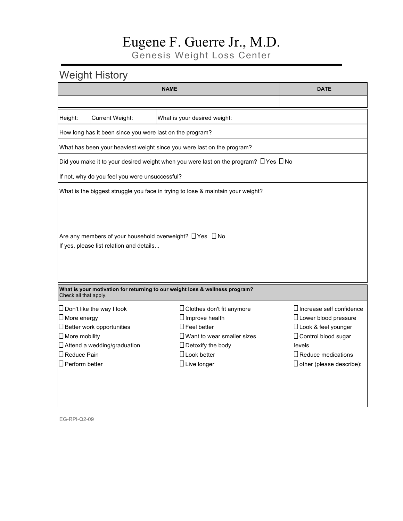Genesis Weight Loss Center

### Weight History

|                       |                                                          | <b>DATE</b>                                                                                    |                                 |
|-----------------------|----------------------------------------------------------|------------------------------------------------------------------------------------------------|---------------------------------|
|                       |                                                          |                                                                                                |                                 |
| Height:               | <b>Current Weight:</b>                                   | What is your desired weight:                                                                   |                                 |
|                       | How long has it been since you were last on the program? |                                                                                                |                                 |
|                       |                                                          | What has been your heaviest weight since you were last on the program?                         |                                 |
|                       |                                                          | Did you make it to your desired weight when you were last on the program? $\Box$ Yes $\Box$ No |                                 |
|                       | If not, why do you feel you were unsuccessful?           |                                                                                                |                                 |
|                       |                                                          | What is the biggest struggle you face in trying to lose & maintain your weight?                |                                 |
|                       |                                                          |                                                                                                |                                 |
|                       |                                                          |                                                                                                |                                 |
|                       |                                                          | Are any members of your household overweight? $\Box$ Yes $\Box$ No                             |                                 |
|                       | If yes, please list relation and details                 |                                                                                                |                                 |
|                       |                                                          |                                                                                                |                                 |
|                       |                                                          |                                                                                                |                                 |
|                       |                                                          |                                                                                                |                                 |
| Check all that apply. |                                                          | What is your motivation for returning to our weight loss & wellness program?                   |                                 |
|                       | $\Box$ Don't like the way I look                         | $\Box$ Clothes don't fit anymore                                                               | $\Box$ Increase self confidence |
| $\Box$ More energy    |                                                          | $\Box$ Improve health                                                                          | $\Box$ Lower blood pressure     |
|                       | $\Box$ Better work opportunities                         | $\Box$ Feel better                                                                             | □ Look & feel younger           |
| $\Box$ More mobility  |                                                          | $\Box$ Want to wear smaller sizes                                                              | $\Box$ Control blood sugar      |
|                       | $\Box$ Attend a wedding/graduation                       | $\Box$ Detoxify the body                                                                       | levels                          |
| $\Box$ Reduce Pain    |                                                          | $\Box$ Look better                                                                             | $\Box$ Reduce medications       |
| $\Box$ Perform better |                                                          | $\Box$ Live longer                                                                             | $\Box$ other (please describe): |
|                       |                                                          |                                                                                                |                                 |
|                       |                                                          |                                                                                                |                                 |
|                       |                                                          |                                                                                                |                                 |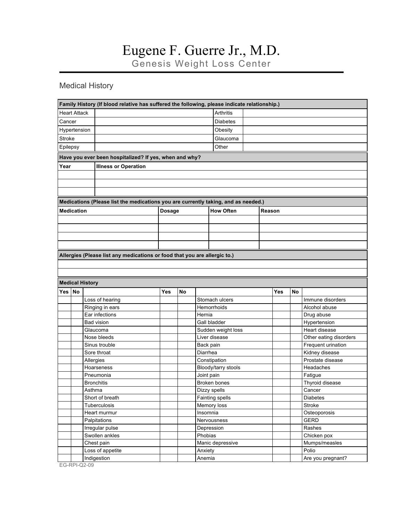Genesis Weight Loss Center

#### Medical History

|               |                        | Family History (If blood relative has suffered the following, please indicate relationship.) |               |           |                    |                            |  |     |           |                        |
|---------------|------------------------|----------------------------------------------------------------------------------------------|---------------|-----------|--------------------|----------------------------|--|-----|-----------|------------------------|
|               | <b>Heart Attack</b>    |                                                                                              |               |           |                    | <b>Arthritis</b>           |  |     |           |                        |
| Cancer        |                        |                                                                                              |               |           |                    | <b>Diabetes</b>            |  |     |           |                        |
|               | Hypertension           |                                                                                              |               |           |                    | Obesity                    |  |     |           |                        |
| <b>Stroke</b> |                        |                                                                                              |               |           |                    | Glaucoma                   |  |     |           |                        |
| Epilepsy      |                        |                                                                                              |               |           |                    | Other                      |  |     |           |                        |
|               |                        | Have you ever been hospitalized? If yes, when and why?                                       |               |           |                    |                            |  |     |           |                        |
|               |                        |                                                                                              |               |           |                    |                            |  |     |           |                        |
| Year          |                        | <b>Illness or Operation</b>                                                                  |               |           |                    |                            |  |     |           |                        |
|               |                        |                                                                                              |               |           |                    |                            |  |     |           |                        |
|               |                        |                                                                                              |               |           |                    |                            |  |     |           |                        |
|               |                        |                                                                                              |               |           |                    |                            |  |     |           |                        |
|               |                        | Medications (Please list the medications you are currently taking, and as needed.)           |               |           |                    |                            |  |     |           |                        |
|               | <b>Medication</b>      |                                                                                              | <b>Dosage</b> |           |                    | <b>How Often</b><br>Reason |  |     |           |                        |
|               |                        |                                                                                              |               |           |                    |                            |  |     |           |                        |
|               |                        |                                                                                              |               |           |                    |                            |  |     |           |                        |
|               |                        |                                                                                              |               |           |                    |                            |  |     |           |                        |
|               |                        |                                                                                              |               |           |                    |                            |  |     |           |                        |
|               |                        | Allergies (Please list any medications or food that you are allergic to.)                    |               |           |                    |                            |  |     |           |                        |
|               |                        |                                                                                              |               |           |                    |                            |  |     |           |                        |
|               |                        |                                                                                              |               |           |                    |                            |  |     |           |                        |
|               |                        |                                                                                              |               |           |                    |                            |  |     |           |                        |
|               | <b>Medical History</b> |                                                                                              |               |           |                    |                            |  |     |           |                        |
| Yes           | <b>No</b>              |                                                                                              | Yes           | <b>No</b> |                    |                            |  | Yes | <b>No</b> |                        |
|               |                        | Loss of hearing                                                                              |               |           |                    | Stomach ulcers             |  |     |           | Immune disorders       |
|               |                        | Ringing in ears                                                                              |               |           |                    | Hemorrhoids                |  |     |           | Alcohol abuse          |
|               |                        | Ear infections                                                                               |               |           | Hernia             |                            |  |     |           | Drug abuse             |
|               |                        | <b>Bad vision</b>                                                                            |               |           | Gall bladder       |                            |  |     |           | Hypertension           |
|               |                        | Glaucoma                                                                                     |               |           | Sudden weight loss |                            |  |     |           | Heart disease          |
|               |                        | Nose bleeds                                                                                  |               |           | Liver disease      |                            |  |     |           | Other eating disorders |
|               |                        | Sinus trouble                                                                                |               |           | Back pain          |                            |  |     |           | Frequent urination     |
|               |                        | Sore throat                                                                                  |               |           | Diarrhea           |                            |  |     |           | Kidney disease         |
|               |                        | Allergies                                                                                    |               |           |                    | Constipation               |  |     |           | Prostate disease       |
|               |                        | Hoarseness                                                                                   |               |           |                    | Bloody/tarry stools        |  |     |           | Headaches              |
|               |                        | Pneumonia                                                                                    |               |           | Joint pain         |                            |  |     |           | Fatigue                |
|               |                        | <b>Bronchitis</b>                                                                            |               |           |                    |                            |  |     |           |                        |
|               |                        |                                                                                              |               |           |                    | Broken bones               |  |     |           | Thyroid disease        |
|               |                        | Asthma                                                                                       |               |           |                    | Dizzy spells               |  |     |           | Cancer                 |
|               |                        | Short of breath                                                                              |               |           |                    | Fainting spells            |  |     |           | <b>Diabetes</b>        |
|               |                        | Tuberculosis                                                                                 |               |           |                    | Memory loss                |  |     |           | Stroke                 |
|               |                        | Heart murmur                                                                                 |               |           | Insomnia           |                            |  |     |           | Osteoporosis           |
|               |                        | Palpitations                                                                                 |               |           |                    | Nervousness                |  |     |           | <b>GERD</b>            |
|               |                        | Irregular pulse                                                                              |               |           |                    | Depression                 |  |     |           | Rashes                 |
|               |                        | Swollen ankles                                                                               |               |           | Phobias            |                            |  |     |           | Chicken pox            |
|               |                        | Chest pain                                                                                   |               |           |                    | Manic depressive           |  |     |           | Mumps/measles          |
|               |                        | Loss of appetite                                                                             |               |           | Anxiety            |                            |  |     |           | Polio                  |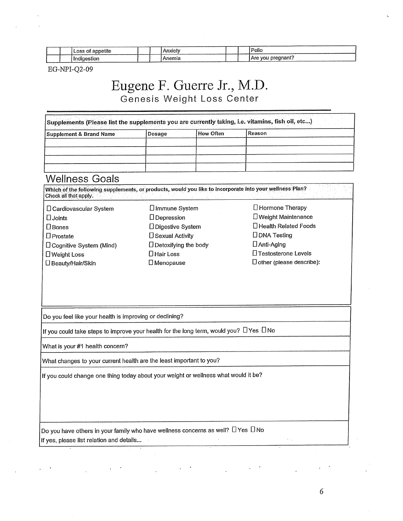|  | Loss of<br>annetite |  | Anxiet                                                                                                                                                                                                                                      | Polio |                          |  |
|--|---------------------|--|---------------------------------------------------------------------------------------------------------------------------------------------------------------------------------------------------------------------------------------------|-------|--------------------------|--|
|  | adia oction<br>     |  | ---<br>me<br>the contract of the contract of the contract of the contract of the contract of the contract of the contract of the contract of the contract of the contract of the contract of the contract of the contract of the contract o |       | pregnant?<br>וחו<br>лı v |  |

EG-NPI-Q2-09

### Eugene F. Guerre Jr., M.D. Genesis Weight Loss Center

| Supplements (Please list the supplements you are currently taking, i.e. vitamins, fish oil, etc) |        |           |          |  |  |  |
|--------------------------------------------------------------------------------------------------|--------|-----------|----------|--|--|--|
| <b>Supplement &amp; Brand Name</b>                                                               | Dosage | How Often | l Reason |  |  |  |
|                                                                                                  |        |           |          |  |  |  |
|                                                                                                  |        |           |          |  |  |  |
|                                                                                                  |        |           |          |  |  |  |
|                                                                                                  |        |           |          |  |  |  |

#### **Wellness Goals**

Which of the following supplements, or products, would you like to incorporate into your wellness Plan? Check all that apply.

- □ Cardiovascular System  $\square$  Joints  $\square$  Bones  $D$ Prostate **D** Cognitive System (Mind) □ Weight Loss □ Beauty/Hair/Skin
- **U**Immune System DDepression □ Digestive System □ Sexual Activity  $\Box$  Detoxifying the body □ Hair Loss  $\square$  Menopause

#### □ Hormone Therapy **D** Weight Maintenance □ Health Related Foods **DDNA** Testing  $\Box$  Anti-Aging □ Testosterone Levels  $\square$  other (please describe):

Do you feel like your health is improving or declining?

If you could take steps to improve your health for the long term, would you?  $\Box$  Yes  $\Box$  No

What is your #1 health concern?

What changes to your current health are the least important to you?

If you could change one thing today about your weight or wellness what would it be?

Do you have others in your family who have wellness concerns as well?  $\Box$  Yes  $\Box$  No If yes, please list relation and details...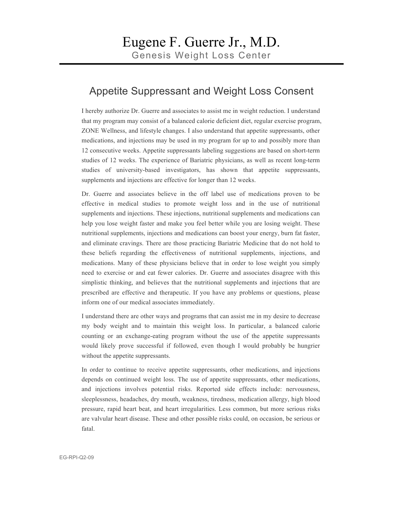#### Appetite Suppressant and Weight Loss Consent

I hereby authorize Dr. Guerre and associates to assist me in weight reduction. I understand that my program may consist of a balanced calorie deficient diet, regular exercise program, ZONE Wellness, and lifestyle changes. I also understand that appetite suppressants, other medications, and injections may be used in my program for up to and possibly more than 12 consecutive weeks. Appetite suppressants labeling suggestions are based on short-term studies of 12 weeks. The experience of Bariatric physicians, as well as recent long-term studies of university-based investigators, has shown that appetite suppressants, supplements and injections are effective for longer than 12 weeks.

Dr. Guerre and associates believe in the off label use of medications proven to be effective in medical studies to promote weight loss and in the use of nutritional supplements and injections. These injections, nutritional supplements and medications can help you lose weight faster and make you feel better while you are losing weight. These nutritional supplements, injections and medications can boost your energy, burn fat faster, and eliminate cravings. There are those practicing Bariatric Medicine that do not hold to these beliefs regarding the effectiveness of nutritional supplements, injections, and medications. Many of these physicians believe that in order to lose weight you simply need to exercise or and eat fewer calories. Dr. Guerre and associates disagree with this simplistic thinking, and believes that the nutritional supplements and injections that are prescribed are effective and therapeutic. If you have any problems or questions, please inform one of our medical associates immediately.

I understand there are other ways and programs that can assist me in my desire to decrease my body weight and to maintain this weight loss. In particular, a balanced calorie counting or an exchange-eating program without the use of the appetite suppressants would likely prove successful if followed, even though I would probably be hungrier without the appetite suppressants.

In order to continue to receive appetite suppressants, other medications, and injections depends on continued weight loss. The use of appetite suppressants, other medications, and injections involves potential risks. Reported side effects include: nervousness, sleeplessness, headaches, dry mouth, weakness, tiredness, medication allergy, high blood pressure, rapid heart beat, and heart irregularities. Less common, but more serious risks are valvular heart disease. These and other possible risks could, on occasion, be serious or fatal.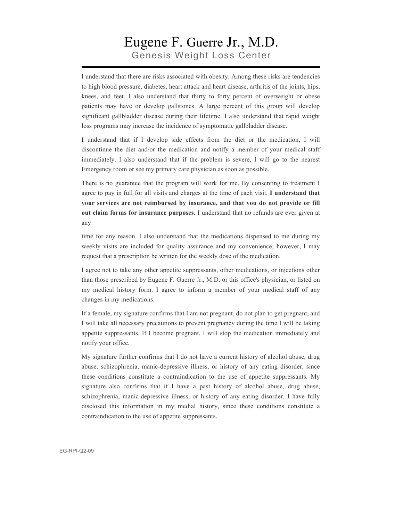### Eugene F. Guerre Jr., M.D. Genesis Weight Loss Center

I understand that there are risks associated with obesity. Among these risks are tendencies to high blood pressure, diabetes, heart attack and heart disease, arthritis of the joints, hips, knees, and feet. I also understand that thirty to forty percent of overweight or obese patients may have or develop gallstones. A large percent of this group will develop significant gallbladder disease during their lifetime. I also understand that rapid weight loss programs may increase the incidence of symptomatic gallbladder disease.

I understand that if I develop side effects from the diet or the medication, I will discontinue the diet and/or the medication and notify a member of your medical staff immediately. I also understand that if the problem is severe, I will go to the nearest Emergency room or see my primary care physician as soon as possible.

There is no guarantee that the program will work for me. By consenting to treatment I agree to pay in full for all visits and charges at the time of each visit. **I understand that your services are not reimbursed by insurance, and that you do not provide or fill out claim forms for insurance purposes.** I understand that no refunds are ever given at any

time for any reason. I also understand that the medications dispensed to me during my weekly visits are included for quality assurance and my convenience; however, I may request that a prescription be written for the weekly dose of the medication.

I agree not to take any other appetite suppressants, other medications, or injections other than those prescribed by Eugene F. Guerre Jr., M.D. or this office's physician, or listed on my medical history form. I agree to inform a member of your medical staff of any changes in my medications.

If a female, my signature confirms that I am not pregnant, do not plan to get pregnant, and I will take all necessary precautions to prevent pregnancy during the time I will be taking appetite suppressants. If I become pregnant, I will stop the medication immediately and notify your office.

My signature further confirms that I do not have a current history of alcohol abuse, drug abuse, schizophrenia, manic-depressive illness, or history of any eating disorder, since these conditions constitute a contraindication to the use of appetite suppressants. My signature also confirms that if I have a past history of alcohol abuse, drug abuse, schizophrenia, manic-depressive illness, or history of any eating disorder, I have fully disclosed this information in my medial history, since these conditions constitute a contraindication to the use of appetite suppressants.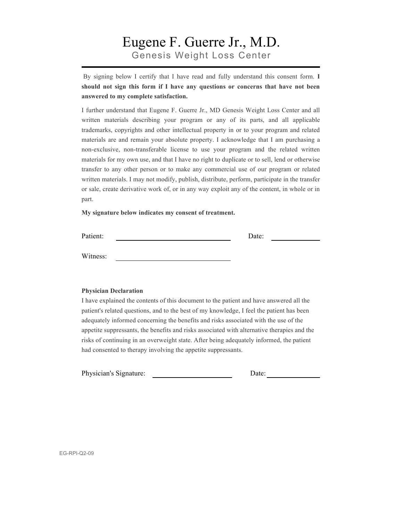### Eugene F. Guerre Jr., M.D. Genesis Weight Loss Center

By signing below I certify that I have read and fully understand this consent form. **I should not sign this form if I have any questions or concerns that have not been answered to my complete satisfaction.** 

I further understand that Eugene F. Guerre Jr., MD Genesis Weight Loss Center and all written materials describing your program or any of its parts, and all applicable trademarks, copyrights and other intellectual property in or to your program and related materials are and remain your absolute property. I acknowledge that I am purchasing a non-exclusive, non-transferable license to use your program and the related written materials for my own use, and that I have no right to duplicate or to sell, lend or otherwise transfer to any other person or to make any commercial use of our program or related written materials. I may not modify, publish, distribute, perform, participate in the transfer or sale, create derivative work of, or in any way exploit any of the content, in whole or in part.

**My signature below indicates my consent of treatment.**

Patient: Date:

Witness:

#### **Physician Declaration**

I have explained the contents of this document to the patient and have answered all the patient's related questions, and to the best of my knowledge, I feel the patient has been adequately informed concerning the benefits and risks associated with the use of the appetite suppressants, the benefits and risks associated with alternative therapies and the risks of continuing in an overweight state. After being adequately informed, the patient had consented to therapy involving the appetite suppressants.

Physician's Signature: Date: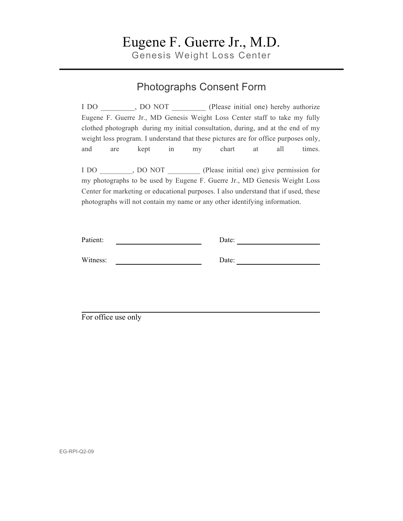Genesis Weight Loss Center

### Photographs Consent Form

I DO \_\_\_\_\_\_\_\_\_, DO NOT \_\_\_\_\_\_\_\_\_ (Please initial one) hereby authorize Eugene F. Guerre Jr., MD Genesis Weight Loss Center staff to take my fully clothed photograph during my initial consultation, during, and at the end of my weight loss program. I understand that these pictures are for office purposes only, and are kept in my chart at all times. I DO  $\ldots$ , DO NOT (Please initial one) give permission for

my photographs to be used by Eugene F. Guerre Jr., MD Genesis Weight Loss Center for marketing or educational purposes. I also understand that if used, these photographs will not contain my name or any other identifying information.

| Patient: | Date: |
|----------|-------|
|          |       |
| Witness: | Date: |

For office use only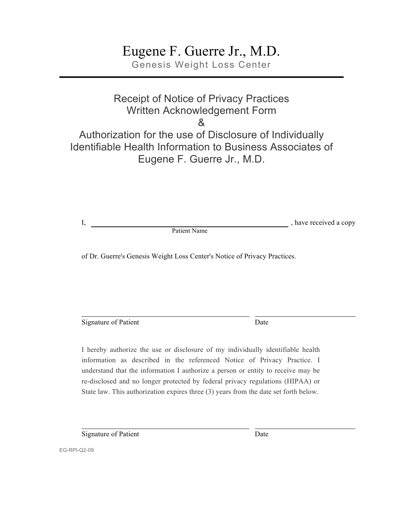Genesis Weight Loss Center

### Receipt of Notice of Privacy Practices Written Acknowledgement Form & Authorization for the use of Disclosure of Individually Identifiable Health Information to Business Associates of Eugene F. Guerre Jr., M.D.

I, have received a copy

Patient Name

of Dr. Guerre's Genesis Weight Loss Center's Notice of Privacy Practices.

Signature of Patient Date

I hereby authorize the use or disclosure of my individually identifiable health information as described in the referenced Notice of Privacy Practice. I understand that the information I authorize a person or entity to receive may be re-disclosed and no longer protected by federal privacy regulations (HIPAA) or State law. This authorization expires three (3) years from the date set forth below.

Signature of Patient Date